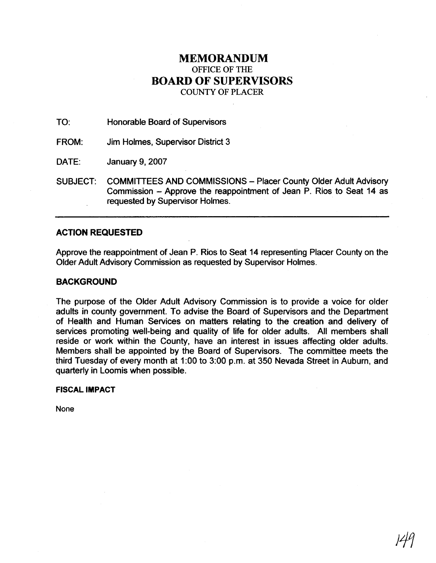## **MEMORANDUM**  OFFICE OF THE **BOARD OF SUPERVISORS**

COUNTY OF PLACER

TO: Honorable Board of Supervisors

FROM: Jim Holmes, Supervisor District 3

DATE: January 9, 2007

SUBJECT: COMMITTEES AND COMMISSIONS - Placer County Older Adult Advisory Commission - Approve the reappointment of Jean P. Rios to Seat 14 as requested by Supervisor Holmes.

## **ACTION REQUESTED**

Approve the reappointment of Jean P. Rios to Seat 14 representing Placer County on the Older Adult Advisory Commission as requested by Supervisor Holmes.

## **BACKGROUND**

The purpose of the Older Adult Advisory Commission is to provide a voice for older adults in county government. To advise the Board of Supervisors and the Department of Health and Human Services on matters relating to the creation and delivery of services promoting well-being and quality of life for older adults. All members shall reside or work within the County, have an interest in issues affecting older adults. Members shall be appointed by the Board of Supervisors. The committee meets the third Tuesday of every month at 1.00 to 3:00 p.m. at 350 Nevada Street in Auburn, and quarterly in Loomis when possible.

## **FISCAL IMPACT**

**None**